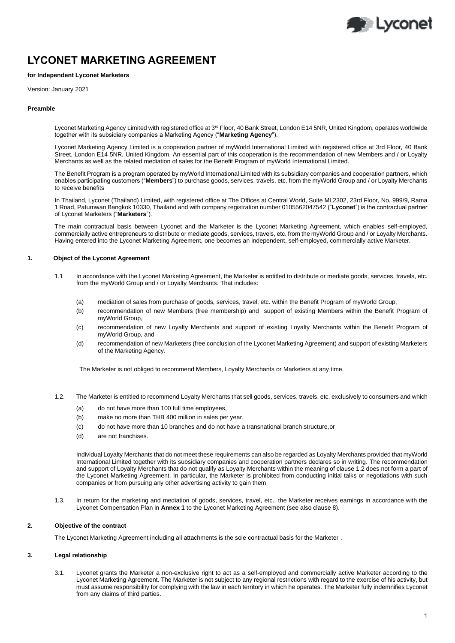

# **LYCONET MARKETING AGREEMENT**

# **for Independent Lyconet Marketers**

Version: January 2021

#### **Preamble**

Lyconet Marketing Agency Limited with registered office at 3<sup>rd</sup> Floor, 40 Bank Street, London E14 5NR, United Kingdom, operates worldwide together with its subsidiary companies a Marketing Agency ("**Marketing Agency**").

Lyconet Marketing Agency Limited is a cooperation partner of myWorld International Limited with registered office at 3rd Floor, 40 Bank Street, London E14 5NR, United Kingdom. An essential part of this cooperation is the recommendation of new Members and / or Loyalty Merchants as well as the related mediation of sales for the Benefit Program of myWorld International Limited.

The Benefit Program is a program operated by myWorld International Limited with its subsidiary companies and cooperation partners, which enables participating customers ("**Members**") to purchase goods, services, travels, etc. from the myWorld Group and / or Loyalty Merchants to receive benefits

In Thailand, Lyconet (Thailand) Limited, with registered office at The Offices at Central World, Suite ML2302, 23rd Floor, No. 999/9, Rama 1 Road, Patumwan Bangkok 10330, Thailand and with company registration number 0105562047542 ("**Lyconet**") is the contractual partner of Lyconet Marketers ("**Marketers**").

The main contractual basis between Lyconet and the Marketer is the Lyconet Marketing Agreement, which enables self-employed, commercially active entrepreneurs to distribute or mediate goods, services, travels, etc. from the myWorld Group and / or Loyalty Merchants. Having entered into the Lyconet Marketing Agreement, one becomes an independent, self-employed, commercially active Marketer.

#### **1. Object of the Lyconet Agreement**

- 1.1 In accordance with the Lyconet Marketing Agreement, the Marketer is entitled to distribute or mediate goods, services, travels, etc. from the myWorld Group and / or Loyalty Merchants. That includes:
	- (a) mediation of sales from purchase of goods, services, travel, etc. within the Benefit Program of myWorld Group,
	- (b) recommendation of new Members (free membership) and support of existing Members within the Benefit Program of myWorld Group,
	- (c) recommendation of new Loyalty Merchants and support of existing Loyalty Merchants within the Benefit Program of myWorld Group, and
	- (d) recommendation of new Marketers (free conclusion of the Lyconet Marketing Agreement) and support of existing Marketers of the Marketing Agency.

The Marketer is not obliged to recommend Members, Loyalty Merchants or Marketers at any time.

- 1.2. The Marketer is entitled to recommend Loyalty Merchants that sell goods, services, travels, etc. exclusively to consumers and which
	- (a) do not have more than 100 full time employees,
	- (b) make no more than THB 400 million in sales per year,
	- (c) do not have more than 10 branches and do not have a transnational branch structure,or
	- (d) are not franchises.

Individual Loyalty Merchants that do not meet these requirements can also be regarded as Loyalty Merchants provided that myWorld International Limited together with its subsidiary companies and cooperation partners declares so in writing. The recommendation and support of Loyalty Merchants that do not qualify as Loyalty Merchants within the meaning of clause 1.2 does not form a part of the Lyconet Marketing Agreement. In particular, the Marketer is prohibited from conducting initial talks or negotiations with such companies or from pursuing any other advertising activity to gain them

1.3. In return for the marketing and mediation of goods, services, travel, etc., the Marketer receives earnings in accordance with the Lyconet Compensation Plan in **Annex 1** to the Lyconet Marketing Agreement (see also clause 8).

#### **2. Objective of the contract**

The Lyconet Marketing Agreement including all attachments is the sole contractual basis for the Marketer .

# **3. Legal relationship**

3.1. Lyconet grants the Marketer a non-exclusive right to act as a self-employed and commercially active Marketer according to the Lyconet Marketing Agreement. The Marketer is not subject to any regional restrictions with regard to the exercise of his activity, but must assume responsibility for complying with the law in each territory in which he operates. The Marketer fully indemnifies Lyconet from any claims of third parties.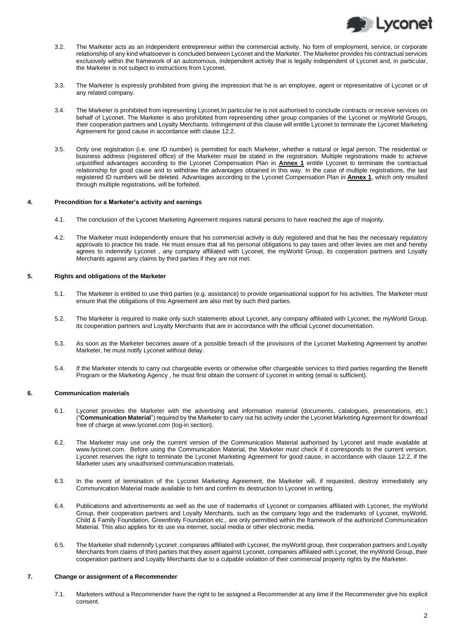

- 3.2. The Marketer acts as an independent entrepreneur within the commercial activity. No form of employment, service, or corporate relationship of any kind whatsoever is concluded between Lyconet and the Marketer. The Marketer provides his contractual services exclusively within the framework of an autonomous, independent activity that is legally independent of Lyconet and, in particular, the Marketer is not subject to instructions from Lyconet.
- 3.3. The Marketer is expressly prohibited from giving the impression that he is an employee, agent or representative of Lyconet or of any related company.
- 3.4. The Marketer is prohibited from representing Lyconet,In particular he is not authorised to conclude contracts or receive services on behalf of Lyconet. The Marketer is also prohibited from representing other group companies of the Lyconet or myWorld Groups, their cooperation partners and Loyalty Merchants. Infringement of this clause will entitle Lyconet to terminate the Lyconet Marketing Agreement for good cause in accordance with clause 12.2.
- 3.5. Only one registration (i.e. one ID number) is permitted for each Marketer, whether a natural or legal person. The residential or business address (registered office) of the Marketer must be stated in the registration. Multiple registrations made to achieve unjustified advantages according to the Lyconet Compensation Plan in **Annex 1** entitle Lyconet to terminate the contractual relationship for good cause and to withdraw the advantages obtained in this way. In the case of multiple registrations, the last registered ID numbers will be deleted. Advantages according to the Lyconet Compensation Plan in **Annex 1**, which only resulted through multiple registrations, will be forfeited.

#### **4. Precondition for a Marketer's activity and earnings**

- 4.1. The conclusion of the Lyconet Marketing Agreement requires natural persons to have reached the age of majority.
- 4.2. The Marketer must independently ensure that his commercial activity is duly registered and that he has the necessary regulatory approvals to practice his trade. He must ensure that all his personal obligations to pay taxes and other levies are met and hereby agrees to indemnify Lyconet , any company affiliated with Lyconet, the myWorld Group, its cooperation partners and Loyalty Merchants against any claims by third parties if they are not met.

#### **5. Rights and obligations of the Marketer**

- 5.1. The Marketer is entitled to use third parties (e.g. assistance) to provide organisational support for his activities. The Marketer must ensure that the obligations of this Agreement are also met by such third parties.
- 5.2. The Marketer is required to make only such statements about Lyconet, any company affiliated with Lyconet, the myWorld Group, its cooperation partners and Loyalty Merchants that are in accordance with the official Lyconet documentation.
- 5.3. As soon as the Marketer becomes aware of a possible breach of the provisions of the Lyconet Marketing Agreement by another Marketer, he must notify Lyconet without delay.
- 5.4. If the Marketer intends to carry out chargeable events or otherwise offer chargeable services to third parties regarding the Benefit Program or the Marketing Agency , he must first obtain the consent of Lyconet in writing (email is sufficient).

#### **6. Communication materials**

- 6.1. Lyconet provides the Marketer with the advertising and information material (documents, catalogues, presentations, etc.) ("**Communication Material**") required by the Marketer to carry out his activity under the Lyconet Marketing Agreement for download free of charge a[t www.lyconet.com](http://www.lyconet.com/) (log-in section).
- 6.2. The Marketer may use only the current version of the Communication Material authorised by Lyconet and made available at www.lyconet.com. Before using the Communication Material, the Marketer must check if it corresponds to the current version. Lyconet reserves the right to terminate the Lyconet Marketing Agreement for good cause, in accordance with clause 12.2, if the Marketer uses any unauthorised communication materials.
- 6.3. In the event of termination of the Lyconet Marketing Agreement, the Marketer will, if requested, destroy immediately any Communication Material made available to him and confirm its destruction to Lyconet in writing.
- 6.4. Publications and advertisements as well as the use of trademarks of Lyconet or companies affiliated with Lyconet, the myWorld Group, their cooperation partners and Loyalty Merchants, such as the company logo and the trademarks of Lyconet, myWorld, Child & Family Foundation, Greenfinity Foundation etc., are only permitted within the framework of the authorized Communication Material. This also applies for its use via internet, social media or other electronic media.
- 6.5. The Marketer shall indemnify Lyconet ,companies affiliated with Lyconet, the myWorld group, their cooperation partners and Loyalty Merchants from claims of third parties that they assert against Lyconet, companies affiliated with Lyconet, the myWorld Group, their cooperation partners and Loyalty Merchants due to a culpable violation of their commercial property rights by the Marketer.

# **7. Change or assignment of a Recommender**

7.1. Marketers without a Recommender have the right to be assigned a Recommender at any time if the Recommender give his explicit consent.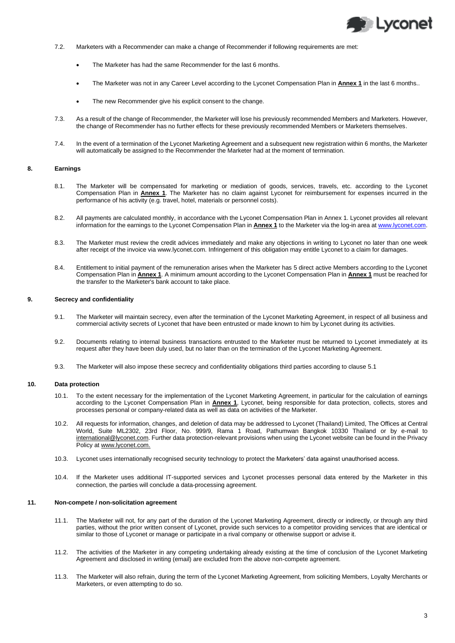

- 7.2. Marketers with a Recommender can make a change of Recommender if following requirements are met:
	- The Marketer has had the same Recommender for the last 6 months.
	- The Marketer was not in any Career Level according to the Lyconet Compensation Plan in **Annex 1** in the last 6 months..
	- The new Recommender give his explicit consent to the change.
- 7.3. As a result of the change of Recommender, the Marketer will lose his previously recommended Members and Marketers. However, the change of Recommender has no further effects for these previously recommended Members or Marketers themselves.
- 7.4. In the event of a termination of the Lyconet Marketing Agreement and a subsequent new registration within 6 months, the Marketer will automatically be assigned to the Recommender the Marketer had at the moment of termination.

#### **8. Earnings**

- 8.1. The Marketer will be compensated for marketing or mediation of goods, services, travels, etc. according to the Lyconet Compensation Plan in **Annex 1**. The Marketer has no claim against Lyconet for reimbursement for expenses incurred in the performance of his activity (e.g. travel, hotel, materials or personnel costs).
- 8.2. All payments are calculated monthly, in accordance with the Lyconet Compensation Plan in Annex 1. Lyconet provides all relevant information for the earnings to the Lyconet Compensation Plan in **Annex 1** to the Marketer via the log-in area at [www.lyconet.com.](http://www.lyconet.com/)
- 8.3. The Marketer must review the credit advices immediately and make any objections in writing to Lyconet no later than one week after receipt of the invoice via www.lyconet.com. Infringement of this obligation may entitle Lyconet to a claim for damages.
- 8.4. Entitlement to initial payment of the remuneration arises when the Marketer has 5 direct active Members according to the Lyconet Compensation Plan in **Annex 1**. A minimum amount according to the Lyconet Compensation Plan in **Annex 1** must be reached for the transfer to the Marketer's bank account to take place.

#### **9. Secrecy and confidentiality**

- 9.1. The Marketer will maintain secrecy, even after the termination of the Lyconet Marketing Agreement, in respect of all business and commercial activity secrets of Lyconet that have been entrusted or made known to him by Lyconet during its activities.
- 9.2. Documents relating to internal business transactions entrusted to the Marketer must be returned to Lyconet immediately at its request after they have been duly used, but no later than on the termination of the Lyconet Marketing Agreement.
- 9.3. The Marketer will also impose these secrecy and confidentiality obligations third parties according to clause 5.1

### **10. Data protection**

- 10.1. To the extent necessary for the implementation of the Lyconet Marketing Agreement, in particular for the calculation of earnings according to the Lyconet Compensation Plan in **Annex 1**, Lyconet, being responsible for data protection, collects, stores and processes personal or company-related data as well as data on activities of the Marketer.
- 10.2. All requests for information, changes, and deletion of data may be addressed to Lyconet (Thailand) Limited, The Offices at Central World, Suite ML2302, 23rd Floor, No. 999/9, Rama 1 Road, Pathumwan Bangkok 10330 Thailand or by e-mail to international@lyconet.com. Further data protection-relevant provisions when using the Lyconet website can be found in the Privacy Policy at www.lyconet.com.
- 10.3. Lyconet uses internationally recognised security technology to protect the Marketers' data against unauthorised access.
- 10.4. If the Marketer uses additional IT-supported services and Lyconet processes personal data entered by the Marketer in this connection, the parties will conclude a data-processing agreement.

#### **11. Non-compete / non-solicitation agreement**

- 11.1. The Marketer will not, for any part of the duration of the Lyconet Marketing Agreement, directly or indirectly, or through any third parties, without the prior written consent of Lyconet, provide such services to a competitor providing services that are identical or similar to those of Lyconet or manage or participate in a rival company or otherwise support or advise it.
- 11.2. The activities of the Marketer in any competing undertaking already existing at the time of conclusion of the Lyconet Marketing Agreement and disclosed in writing (email) are excluded from the above non-compete agreement.
- 11.3. The Marketer will also refrain, during the term of the Lyconet Marketing Agreement, from soliciting Members, Loyalty Merchants or Marketers, or even attempting to do so.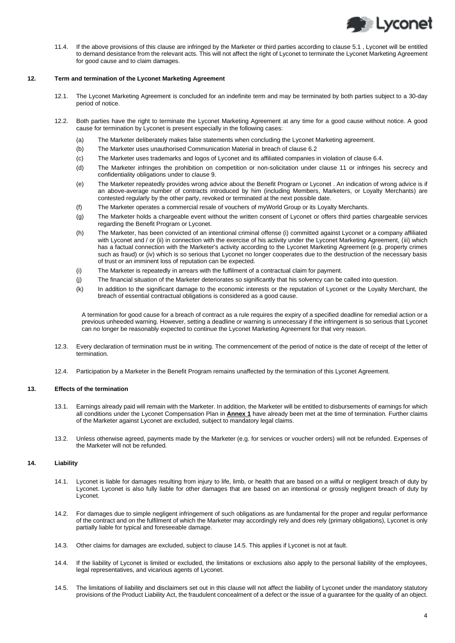

11.4. If the above provisions of this clause are infringed by the Marketer or third parties according to clause 5.1 , Lyconet will be entitled to demand desistance from the relevant acts. This will not affect the right of Lyconet to terminate the Lyconet Marketing Agreement for good cause and to claim damages.

## **12. Term and termination of the Lyconet Marketing Agreement**

- 12.1. The Lyconet Marketing Agreement is concluded for an indefinite term and may be terminated by both parties subject to a 30-day period of notice.
- 12.2. Both parties have the right to terminate the Lyconet Marketing Agreement at any time for a good cause without notice. A good cause for termination by Lyconet is present especially in the following cases:
	- (a) The Marketer deliberately makes false statements when concluding the Lyconet Marketing agreement.
	- (b) The Marketer uses unauthorised Communication Material in breach of clause 6.2
	- (c) The Marketer uses trademarks and logos of Lyconet and its affiliated companies in violation of clause 6.4.
	- (d) The Marketer infringes the prohibition on competition or non-solicitation under clause 11 or infringes his secrecy and confidentiality obligations under to clause 9.
	- (e) The Marketer repeatedly provides wrong advice about the Benefit Program or Lyconet . An indication of wrong advice is if an above-average number of contracts introduced by him (including Members, Marketers, or Loyalty Merchants) are contested regularly by the other party, revoked or terminated at the next possible date.
	- (f) The Marketer operates a commercial resale of vouchers of myWorld Group or its Loyalty Merchants.
	- (g) The Marketer holds a chargeable event without the written consent of Lyconet or offers third parties chargeable services regarding the Benefit Program or Lyconet.
	- (h) The Marketer, has been convicted of an intentional criminal offense (i) committed against Lyconet or a company affiliated with Lyconet and / or (ii) in connection with the exercise of his activity under the Lyconet Marketing Agreement, (iii) which has a factual connection with the Marketer's activity according to the Lyconet Marketing Agreement (e.g. property crimes such as fraud) or (iv) which is so serious that Lyconet no longer cooperates due to the destruction of the necessary basis of trust or an imminent loss of reputation can be expected.
	- (i) The Marketer is repeatedly in arrears with the fulfilment of a contractual claim for payment.
	- (j) The financial situation of the Marketer deteriorates so significantly that his solvency can be called into question.
	- (k) In addition to the significant damage to the economic interests or the reputation of Lyconet or the Loyalty Merchant, the breach of essential contractual obligations is considered as a good cause.

A termination for good cause for a breach of contract as a rule requires the expiry of a specified deadline for remedial action or a previous unheeded warning. However, setting a deadline or warning is unnecessary if the infringement is so serious that Lyconet can no longer be reasonably expected to continue the Lyconet Marketing Agreement for that very reason.

- 12.3. Every declaration of termination must be in writing. The commencement of the period of notice is the date of receipt of the letter of termination.
- 12.4. Participation by a Marketer in the Benefit Program remains unaffected by the termination of this Lyconet Agreement.

# **13. Effects of the termination**

- 13.1. Earnings already paid will remain with the Marketer. In addition, the Marketer will be entitled to disbursements of earnings for which all conditions under the Lyconet Compensation Plan in **Annex 1** have already been met at the time of termination. Further claims of the Marketer against Lyconet are excluded, subject to mandatory legal claims.
- 13.2. Unless otherwise agreed, payments made by the Marketer (e.g. for services or voucher orders) will not be refunded. Expenses of the Marketer will not be refunded.

# **14. Liability**

- 14.1. Lyconet is liable for damages resulting from injury to life, limb, or health that are based on a wilful or negligent breach of duty by Lyconet. Lyconet is also fully liable for other damages that are based on an intentional or grossly negligent breach of duty by Lyconet.
- 14.2. For damages due to simple negligent infringement of such obligations as are fundamental for the proper and regular performance of the contract and on the fulfilment of which the Marketer may accordingly rely and does rely (primary obligations), Lyconet is only partially liable for typical and foreseeable damage.
- 14.3. Other claims for damages are excluded, subject to claus[e 14.5.](#page-3-0) This applies if Lyconet is not at fault.
- 14.4. If the liability of Lyconet is limited or excluded, the limitations or exclusions also apply to the personal liability of the employees, legal representatives, and vicarious agents of Lyconet.
- <span id="page-3-0"></span>14.5. The limitations of liability and disclaimers set out in this clause will not affect the liability of Lyconet under the mandatory statutory provisions of the Product Liability Act, the fraudulent concealment of a defect or the issue of a guarantee for the quality of an object.